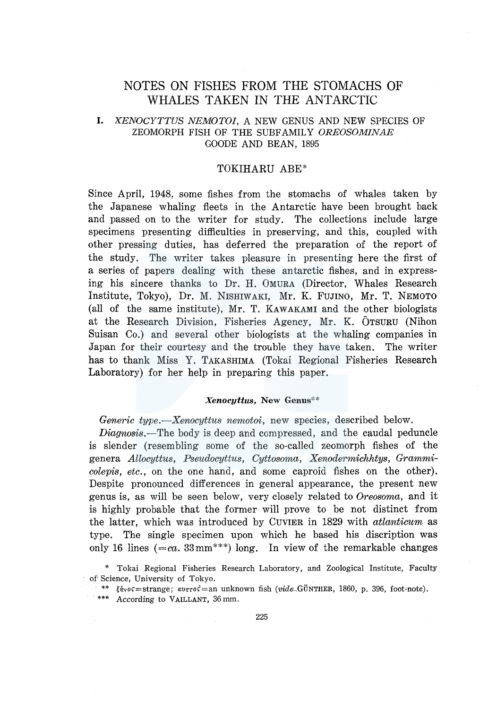# NOTES ON FISHES FROM THE STOMACHS OF WHALES TAKEN IN THE ANTARCTIC

# I. *KENOCYTTUS NEMOTOI,* A NEW GENUS AND NEW SPECIES OF ZEOMORPH FISH OF THE SUBFAMILY *OREOSOMINAE*  GOODE AND BEAN, 1895

# TOKIHARU ABE\*

Since April, 1948, some fishes from the stomachs of whales taken by the Japanese whaling fleets in the Antarctic have been brought back and passed on to the writer for study. The collections include large specimens presenting difficulties in preserving, and this, coupled with other pressing duties, has deferred the preparation of the report of the study. The writer takes pleasure in presenting here the first of a series of papers dealing with these antarctic fishes, and in expressing his sincere thanks to Dr. H. OMURA (Director, Whales Research Institute, Tokyo), Dr. M. NISHIWAKI, Mr. K. FUJINO, Mr. T. NEMOTO (all of the same institute), Mr. T. KAWAKAMI and the other biologists at the Research Division, Fisheries Agency, Mr. K. OTSURU (Nihon Suisan Co.) and several other biologists at the whaling companies in Japan for their courtesy and the trouble they have taken. The writer has to thank Miss Y. TAKASHIMA (Tokai Regional Fisheries Research Laboratory) for her help in preparing this paper.

### *Xenocyttus,* New Genus\*\*

*Generic type.-Xenocyttus nemotoi,* new species, described below.

*Diagnosis.-The* body is deep and compressed, and the caudal peduncle is slender (resembling some of the so-called zeomorph fishes of the genera *Allocyttus, Pseudocyttus, Cyttosoma, Xenodermichhtys, Grammicolepis, etc.,* on the one hand, and some caproid fishes on the other). Despite pronounced differences in general appearance, the present new genus is, as will be seen below, very closely related to *Oreosoma,* and it is highly probable that the former will prove to be not distinct from the latter, which was introduced by CUVIER in 1829 with *atlanticum* as type. The single specimen upon which he based his discription was only 16 lines  $(=ca. 33 \text{mm}^{***})$  long. In view of the remarkable changes

<sup>\*</sup> Tokai Regional Fisheries Research Laboratory, and Zoological Institute, Faculty of Science; University of Tokyo.

<sup>\*\*</sup>  $\xi$ ένος=strange;  $\kappa v \tau \circ c^2 =$ an unknown fish (vide.GÜNTHER, 1860, p. 396, foot-note).

<sup>\*\*\*</sup> According to VAILLANT, 36mm.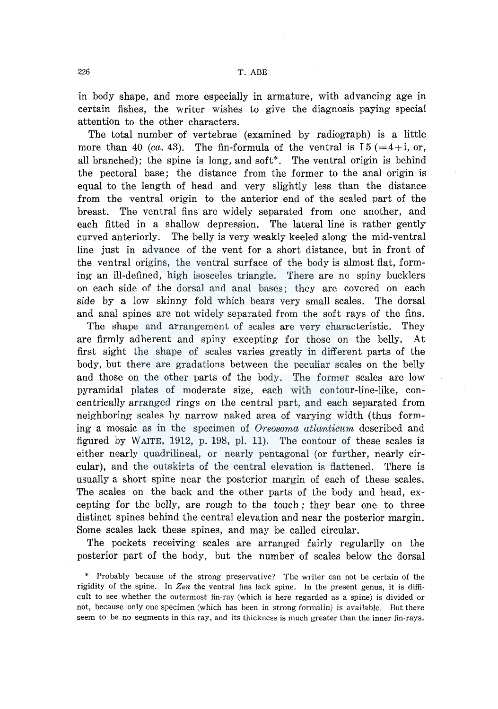in body shape, and more especially in armature, with advancing age in certain fishes, the writer wishes to give the diagnosis paying special attention to the other characters.

The total number of vertebrae (examined by radiograph) is a little more than 40 *(ca.* 43). The fin-formula of the ventral is  $15 (=4+i, or,$ all branched); the spine is long, and soft\*. The ventral origin is behind the pectoral base; the distance from the former to the anal origin is equal to the length of head and very slightly less than the distance from the ventral origin to the anterior end of the scaled part of the breast. The ventral fins are widely separated from one another, and each fitted in a shallow depression. The lateral line is rather gently curved anteriorly. The belly is very weakly keeled along the mid-ventral line just in advance of the vent for a short distance, but in front of the ventral origins, the ventral surface of the body is almost flat, forming an ill-defined, high isosceles triangle. There are no spiny bucklers on each side of the dorsal and anal bases; they are covered on each side by a low skinny fold which bears very small scales. The dorsal and anal spines are not widely separated from the soft rays of the fins.

The shape and arrangement of scales are very characteristic. They are firmly adherent and spiny excepting for those on the belly. At first sight the shape of scales varies greatly in different parts of the body, but there are gradations between the peculiar scales on the belly and those on the other parts of the body. The former scales are low pyramidal plates of moderate size, each with contour-line-like, concentrically arranged rings on the central part, and each separated from neighboring scales by narrow naked area of varying width (thus forming a mosaic as in the specimen of *Oreosoma atlanticum* described and figured by WAITE, 1912, p. 198, pl. 11). The contour of these scales is either nearly quadrilineal, or nearly pentagonal (or further, nearly circular), and the outskirts of the central elevation is flattened. There is usually a short spine near the posterior margin of each of these scales. The scales on the back and the other parts of the body and head, excepting for the belly, are rough to the touch; they bear one to three distinct spines behind the central elevation and near the posterior margin. Some scales lack these spines, and may be called circular.

The pockets receiving scales are arranged fairly regularlly on the posterior part of the body, but the number of scales below the dorsal

<sup>\*</sup> Probably because of the strong preservative? The writer can not be certain of the rigidity of the spine. In *Zen* the ventral fins lack spine. In the present genus, it is difficult to see whether the outermost fin-ray (which is here regarded as a spine) is divided or not, because only one specimen (which has been in strong formalin) is available. But there seem to be no segments in this ray, and its thickness is much greater than the inner fin-rays.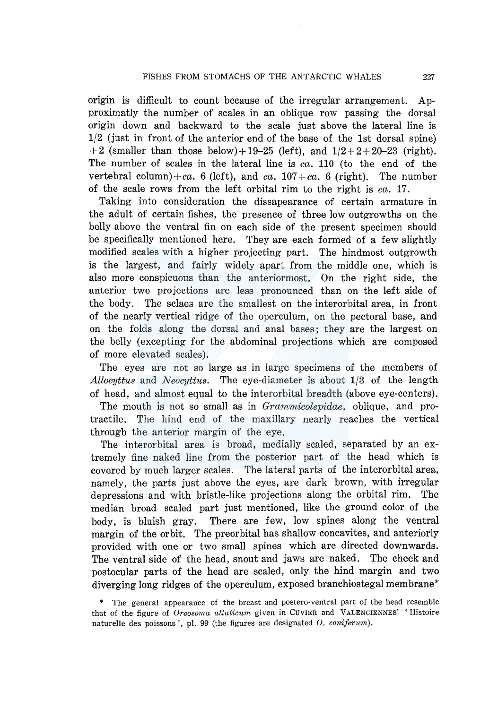origin is difficult to count because of the irregular arrangement. Approximatly the number of scales in an oblique row passing the dorsal origin down and backward to the scale just above the lateral line is 1/2 (just in front of the anterior end of the base of the lst dorsal spine) +2 (smaller than those below)+19-25 (left), and  $1/2+2+20-23$  (right). The number of scales in the lateral line is *ea.* 110 (to the end of the vertebral column)+ca. 6 (left), and ca.  $107 + ca$ . 6 (right). The number of the scale rows from the left orbital rim to the right is *ea.* 17.

Taking into consideration the dissapearance of certain armature in the adult of certain fishes, the presence of three low outgrowths on the belly above the ventral fin on each side of the present specimen should be specifically mentioned here. They are each formed of a few slightly modified scales with a higher projecting part. The hindmost outgrowth is the largest, and fairly widely apart from the middle one, which is also more conspicuous than the anteriormost. On the right side, the anterior two projections are less pronounced than on the left side of the body. The sclaes are the smallest on the interorbital area, in front of the nearly vertical ridge of the operculum, on the pectoral base, and on the folds along the dorsal and anal bases; they are the largest on the belly (excepting for the abdominal projections which are composed of more elevated scales).

The eyes are not so large as in large specimens of the members of *Allocyttus* and *Neocyttus.* The eye-diameter is about 1/3 of the length of head, and almost equal to the interorbital breadth (above eye-centers).

The mouth is not so small as in *Grammieolepidae,* oblique, and protractile. The hind end of the maxillary nearly reaches the vertical through the anterior margin of the eye.

The interorbital area is broad, medially scaled, separated by an extremely fine naked line from the posterior part of the head which is covered by much larger scales. The lateral parts of the interorbital area, namely, the parts just above the eyes, are dark brown, with irregular depressions and with bristle-like projections along the orbital rim. The median broad scaled part just mentioned, like the ground color of the body, is bluish gray. There are few, low spines along the ventral margin of the orbit. The preorbital has shallow concavites, and anteriorly provided with one or two small spines which are directed downwards. The ventral side of the head, snout and jaws are naked. The cheek and postocular parts of the head are scaled, only the hind margin and two diverging long ridges of the operculum, exposed branchiostegal membrane\*

\* The general appearance of the breast and postero-ventral part of the head resemble that of the figure of *Oreosoma atlaticum* given in CUVIER and VALENCIENNES' 'Histoire naturelle des poissons ', pl. 99 (the figures are designated 0. *coniferum).*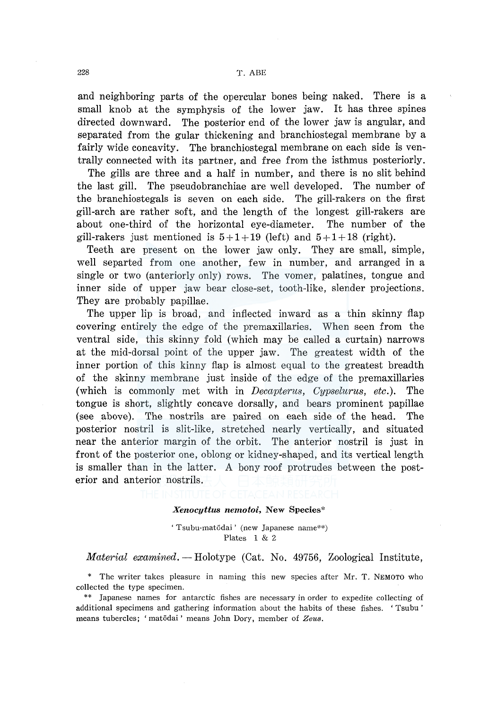and neighboring parts of the opercular bones being naked. There is a small knob at the symphysis of the lower jaw. It has three spines directed downward. The posterior end of the lower jaw is angular, and separated from the gular thickening and branchiostegal membrane by a fairly wide concavity. The branchiostegal membrane on each side is ventrally connected with its partner, and free from the isthmus posteriorly.

The gills are three and a half in number, and there is no slit behind the last gill. The pseudobranchiae are well developed. The number of the branchiostegals is seven on each side. The gill-rakers on the first gill-arch are rather soft, and the length of the longest gill-rakers are about one-third of the horizontal eye-diameter. The number of the gill-rakers just mentioned is  $5+1+19$  (left) and  $5+1+18$  (right).

Teeth are present on the lower jaw only. They are small, simple, well separted from one another, few in number, and arranged in a single or two (anteriorly only) rows. The vomer, palatines, tongue and inner side of upper jaw bear close-set, tooth-like, slender projections. They are probably papillae.

The upper lip is broad, and inflected inward as a thin skinny flap covering entirely the edge of the premaxillaries. When seen from the ventral side, this skinny fold (which may be called a curtain) narrows at the mid-dorsal point of the upper jaw. The greatest width of the inner portion of this kinny flap is almost equal to the greatest breadth of the skinny membrane just inside of the edge of the premaxillaries (which is commonly met with in *Decapterus, Cypselurus, etc.).* The tongue is short, slightly concave dorsally, and bears prominent papillae (see above). The nostrils are paired on each side of the head. The posterior nostril is slit-like, stretched nearly vertically, and situated near the anterior margin of the orbit. The anterior nostril is just in front of the posterior one, oblong or kidney-shaped, and its vertical length is smaller than in the latter. A bony roof protrudes between the posterior and anterior nostrils.

#### *Xenocyttus nemotoi,* New Species\*

'Tsubu-mat6dai' (new Japanese name\*\*) Plates 1 & 2

## *Material examined.* - Holotype (Cat. No. 49756, Zoological Institute,

\* The writer takes pleasure in naming this new species after Mr. T. NEMOTO who collected the type specimen.

<sup>\*\*</sup> Japanese names for antarctic fishes are necessary in order to expedite collecting of additional specimens and gathering information about the habits of these fishes. ' Tsubu ' means tubercles; 'mat6dai' means John Dory, member of *Zeus.*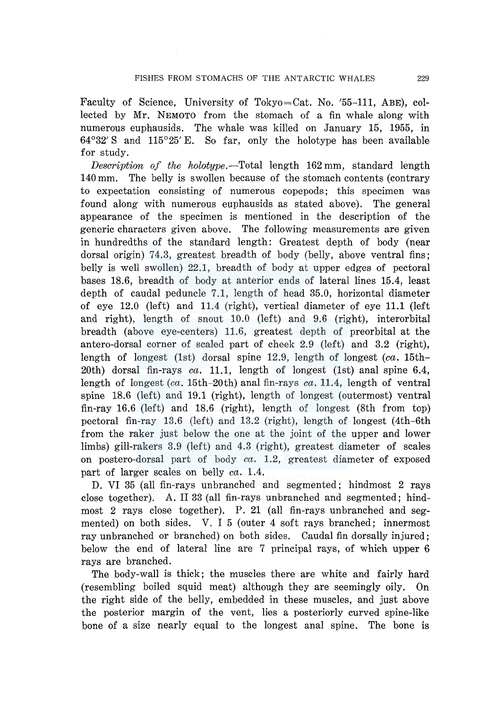Faculty of Science, University of Tokyo=Cat. No. '55-111, ABE), collected by Mr. NEMOTO from the stomach of a fin whale along with numerous euphausids. The whale was killed on January 15, 1955, in 64°32' S and 115°25' E. So far, only the holotype has been available for study.

*Description of the holotype.-Total* length 162 mm, standard length 140 mm. The belly is swollen because of the stomach contents (contrary to expectation consisting of numerous copepods; this specimen was found along with numerous euphausids as stated above). The general appearance of the specimen is mentioned in the description of the generic characters given above. The following measurements are given in hundredths of the standard length: Greatest depth of body (near dorsal origin) 74.3, greatest breadth of body (belly, above ventral fins; belly is well swollen) 22.1, breadth of body at upper edges of pectoral bases 18.6, breadth of body at anterior ends of lateral lines 15.4, least depth of caudal peduncle 7.1, length of head 35.0, horizontal diameter of eye 12.0 (left) and 11.4 (right), vertical diameter of eye 11.1 (left and right), length of snout 10.0 (left) and 9.6 (right), interorbital breadth (above eye-centers) 11.6, greatest depth of preorbital at the antero-dorsal corner of scaled part of cheek 2.9 (left) and 3.2 (right), length of longest (lst) dorsal spine 12.9, length of longest *(ea.* 15th-20th) dorsal fin-rays *ea.* 11.1, length of longest (lst) anal spine 6.4, length of longest *(ea.* 15th-20th) anal fin-rays *ea.* 11.4, length of ventral spine 18.6 (left) and 19.1 (right), length of longest (outermost) ventral fin-ray 16.6 (left) and 18.6 (right), length of longest (8th from top) pectoral fin-ray 13.6 (left) and 13.2 (right), length of longest (4th-6th from the raker just below the one at the joint of the upper and lower limbs) gill-rakers 3.9 (left) and 4.3 (right), greatest diameter of scales on postero-dorsal part of body *ea.* 1.2, greatest diameter of exposed part of larger scales on belly *ea.* 1.4.

D. VI 35 (all fin-rays unbranched and segmented; hindmost 2 rays close together). A. II 33 (all fin-rays unbranched and segmented; hindmost 2 rays close together). P. 21 (all fin-rays unbranched and segmented) on both sides. V. I 5 (outer 4 soft rays branched; innermost ray unbranched or branched) on both sides. Caudal fin dorsally injured; below the end of lateral line are 7 principal rays, of which upper 6 rays are branched.

The body-wall is thick; the muscles there are white and fairly hard (resembling boiled squid meat) although they are seemingly oily. On the right side of the belly, embedded in these muscles, and just above the posterior margin of the vent, lies a posteriorly curved spine-like bone of a size nearly equal to the longest anal spine. The bone is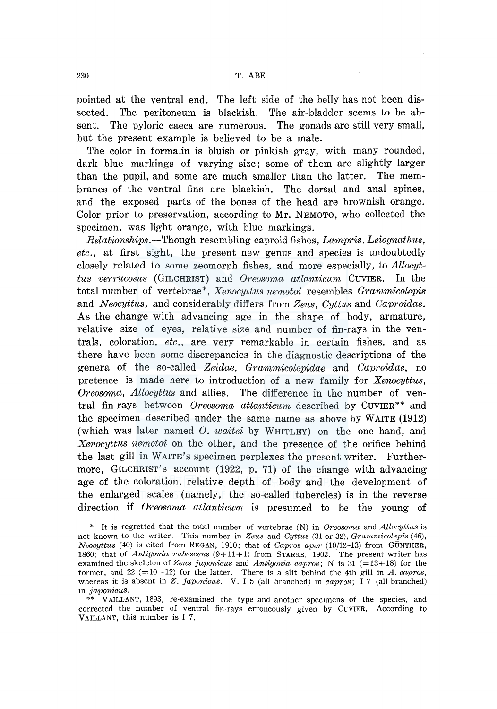pointed at the ventral end. The left side of the belly has not been dissected. The peritoneum is blackish. The air-bladder seems to be absent. The pyloric caeca are numerous. The gonads are still very small, but the present example is believed to be a male.

The color in formalin is bluish or pinkish gray, with many rounded, dark blue markings of varying size; some of them are slightly larger than the pupil, and some are much smaller than the latter. The membranes of the ventral fins are blackish. The dorsal and anal spines, and the exposed parts of the bones of the head are brownish orange. Color prior to preservation, according to Mr. NEMOTO, who collected the specimen, was light orange, with blue markings.

*Relationships.-Though* resembling caproid fishes, *Lampris, Leiognathus, etc.,* at first sight, the present new genus and species is undoubtedly closely related to some zeomorph fishes, and more especially, to *Allocyttus verrucosus* (GILCHRIST) and *Oreosoma atlanticum* CUVIER. In the total number of vertebrae\*, *Xenocyttus nemotoi* resembles *Grammicolepis*  and *Neocyttus,* and considerably differs from *Zeus, Cyttus* and *Caproidae.*  As the change with advancing age in the shape of body, armature, relative size of eyes, relative size and number of fin-rays in the ventrals, coloration, *etc.,* are very remarkable in certain fishes, and as there have been some discrepancies in the diagnostic descriptions of the genera of the so-called *Zeidae, Grammicolepidae* and *Caproidae,* no pretence is made here to introduction of a new family for *Xenocyttus, Oreosoma, Allocyttus* and allies. The difference in the number of ventral fin-rays between *Oreosoma atlanticum* described by CUVIER<sup>\*\*</sup> and the specimen described under the same name as above by WAITE (1912) (which was later named 0. *waitei* by WHITLEY) on the one hand, and *Xenocyttus nemotoi* on the other, and the presence of the orifice behind the last gill in WAITE's specimen perplexes the present writer. Furthermore, GILCHRIST'S account (1922, p. 71) of the change with advancing age of the coloration, relative depth of body and the development of the enlarged scales (namely, the so-called tubercles) is in the reverse direction if *Oreosoma atlanticum* is presumed to be the young of

\* It is regretted that the total number of vertebrae (N) in *Oreosoma* and *Allocyttus* is not known to the writer. This number in *Zeus* and *Cyttus* (31 or 32), *Grammicolepis* (46), *Neocyttus* (40) is cited from REGAN, 1910; that of *Capros aper* (10/12-13) from GÜNTHER, 1860; that of *Antigonia rubescens* (9+ 11+1) from STARKS, 1902. The present writer has examined the skeleton of *Zeus japonicus* and *Antigonia capros;* N is 31 (=13+18) for the former, and  $22$  ( $=10+12$ ) for the latter. There is a slit behind the 4th gill in *A. capros*, whereas it is absent in *Z. japonicus.* V. I 5 (all branched) in *eapros;* I 7 (all branched) in *japonieus.* 

\*\* VAILLANT, 1893, re-examined the type and another specimens of the species, and corrected the number of ventral fin-rays erroneously given by CUVIER. According to VAILLANT, this number is I 7.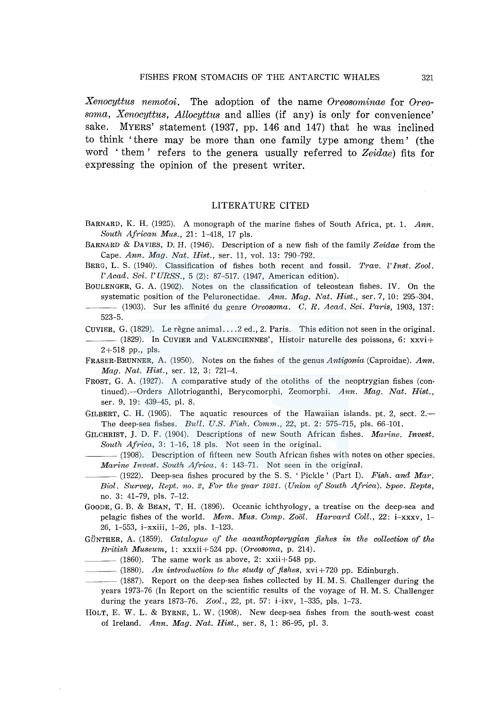*Xenocyttus nemotoi.* The adoption of the name *Oreosominae* for *Oreosoma, Xenocyttus, Allocyttus* and allies (if any) is only for convenience' sake. MYERS' statement (1937, pp. 146 and 147) that he was inclined to think ' there may be more than one family type among them ' (the word ' them ' refers to the genera usually ref erred to *Zeidae)* fits for expressing the opinion of the present writer.

## LITERATURE CITED

- BARNARD, K. H. (1925). A monograph of the marine fishes of South Africa, pt. 1. *Ann. South African Mus.,* 21: 1-418, 17 pls.
- BARNARD & DAVIES, D. H. (1946). Description of a new fish of the family *Zeidae* from the Cape. *Ann. Mag. Nat. Hist.,* ser. 11, vol. 13: 790-792.
- BERG, L. S. (1940). Classification of fishes both recent and fossil. *Trav. l' Inst. Zool. l'Acad. Sci. l'URSS.,* 5 (2): 87-517. (1947, American edition).
- BOULENGER, G. A. (1902). Notes on the classification of teleostean fishes. IV. On the systematic position of the Peluronectidae. *Ann. Mag. Nat. Hist.,* ser. 7, 10: 295-304.
- (1903). Sur Jes affinite du genre *Oreosoma.* C. *R. A cad. Sci. Paris,* 1903, 137: 523-5.
- CUVIER, G. (1829). Le regne animal. ... 2 ed., 2. Paris. This edition not seen in the original.  $-$  (1829). In CUVIER and VALENCIENNES', Histoir naturelle des poissons, 6: xxvi+  $2+518$  pp., pls.
- FRASER-BRUNNER, A. (1950). Notes on the fishes of the genus *Antigonia* (Caproidae). *Ann. Mag. Nat. Hist.,* ser. 12, 3: 721-4.
- FROST, G. A. (1927). A comparative study of the otoliths of the neoptrygian fishes (continued).-Orders Allotrioganthi, Berycomorphi, Zeomorphi. *Ann. Mag. Nat. Hist.,*  ser. 9, 19: 439-45, pl. 8.
- GILBERT, C. H.  $(1905)$ . The aquatic resources of the Hawaiian islands. pt. 2, sect. 2. The deep-sea fishes. *Bull. U.S. Fish. Comm.,* 22, pt. 2: 575-715, pls. 66-101.
- GILCHRIST, J. D. F. (1904). Descriptions of new South African fishes. *Marine. Invest. South Africa,* 3: 1-16, 18 pls. Not seen in the original.
	- $-$  (1908). Description of fifteen new South African fishes with notes on other species. *Marine Invest. South Africa,* 4: 143-71. Not seen in the original.
- $-$  (1922). Deep-sea fishes procured by the S.S. 'Pickle' (Part I). *Fish. and Mar*; *Biol. Survey, Rept. no. 2, For the year 1921. (Union of South Africa). Spee. Repts,*  no. 3: 41-79, pls. 7-12.
- GOODE, G. B. & BEAN, T. H. (1896). Oceanic ichthyology, a treatise on the deep-sea and pelagic fishes of the world. *Mem. Mus. Comp. Zoiil. Harvard Coll.,* 22: i-xxxv, 1- 26, 1-553, i-xxiii, 1-26, pls. 1-123.
- GÜNTHER, A. (1859). *Catalogue of the acanthopterygian fishes in the collection of the British Museum, 1*: xxxii+524 pp. *(Oreosoma, p. 214).* (1860). The same work as above, 2: xxii+548 pp.
- 
- ---(1880). *An introduction to the study of fishes,* xvi+720 pp. Edinburgh.
- ---(1887). Report on the deep-sea fishes collected by H. M. S. Challenger during the years 1973-76 (In Report on the scientific results of the voyage of H. M. S. Challenger during the years 1873-76. *Zool.,* 22, pt. 57: i-ixv, 1-335, pls. 1-73.
- HOLT, E. W. L. & BYRNE, L. W. (1908). New deep-sea fishes from the south-west coast of Ireland. *Ann. Mag. Nat. Hist.,* ser. 8, 1: 86-95, pl. 3.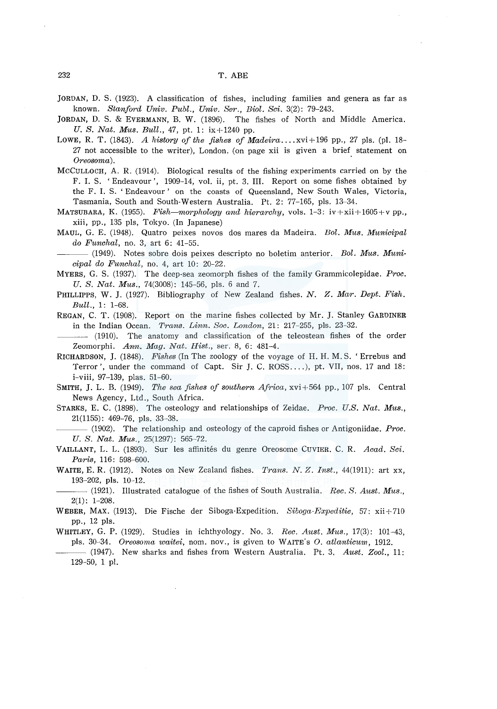232 T. ABE

JORDAN, D. S. (1923). A classification of fishes, including families and genera as far as known. *Stanford Univ. Publ., Univ. Ser., Biol. Sci.* 3(2): 79-243.

JORDAN, D. S. & EVERMANN, B. W. (1896). The fishes of North and Middle America. *U.S. Nat. Mus. Bull.,* 47, pt. 1: ix+1240 pp.

- LOWE, R. T. (1843). *A history of the fishes of Madeira* ...  $xvi+196$  pp., 27 pls. (pl. 18-27 not accessible to the writer), London. (on page xii is given a brief statement on  $O$ *reosoma*).
- MCCULLOCH, A. R. (1914). Biological results of the fishing experiments carried on by the F. I. S. 'Endeavour', 1909-14, vol. ii, pt. 3. III. Report on some fishes obtained by the F. I. S. 'Endeavour' on the coasts of Queensland, New South Wales, Victoria, Tasmania, South and South-Western Australia. Pt. 2: 77-165, pls. 13-34.
- MATSUBARA, K. (1955). *Fish—morphology and hierarchy*, vols. 1–3:  $iv + xii + 1605 + v$  pp., xiii, pp., 135 pls, Tokyo. (In Japanese)
- MAUL, G. E. (1948). Quatro peixes novos dos mares da Madeira. *Bol. Mus. Municipal do Funchal,* no. 3, art 6: 41-55.

 $-$  (1949). Notes sobre dois peixes descripto no boletim anterior. *Bol. Mus. Municipal do Funchal,* no. 4, art 10: 20-22.

- MYERS, G. S. (1937). The deep-sea zeomorph fishes of the family Grammicolepidae. *Proc. U. S. Nat. Mus.,* 74(3008): 145-56, pls. 6 and 7.
- PHILLIPPS, W. J. (1927). Bibliography of New Zealand fishes. *N. Z. Mar. Dept. Fish. Bull.,* 1: 1-68.
- REGAN, C. T. (1908). Report on the marine fishes collected by Mr. J. Stanley GARDINER in the Indian Ocean. *Trans. Linn. Soc. London,* 21: 217-255, pls. 23-32.

(1910). The anatomy and classification of the teleostean fishes of the order Zeomorphi. *Ann. Mag. Nat. Hist.,* ser. 8, 6: 481-4.

- RICHARDSON, J. (1848). *Fishes* (In The zoology of the voyage of H. H. M. S. 'Errebus and Terror', under the command of Capt. Sir J. C. ROSS .... ), pt. VII, nos. 17 and 18: i-viii, 97-139, plas. 51-60.
- SMITH, J. L. B. (1949). *The sea fishes of southern Africa,* xvi+564 pp., 107 pls. Central News Agency, Ltd., South Africa.
- STARKS, E. C. (1898). The osteology and relationships of Zeidae. *Proc. U.S. Nat. Mus.*, 21(1155): 469-76, pls. 33-38.

-(1902). The relationship and osteology of the caproid fishes or Antigoniidae. *Proc. U. S. Nat. Mus.,* 25(1297): 565-72.

- VAILLANr, L. L. (1893). Sur Jes affinites du genre Oreosome CuvIER. C. R. *Acad. Sci. Paris,* 116: 598-600.
- WAITE, E. R. (1912). Notes on New Zealand fishes. *Trans. N. Z. Inst.,* 44(1911): art xx, 193-202, pls. 10-12.

---(1921). Illustrated catalogue of the fishes of South Australia. *Ree. S. Aust. Mus.,*   $2(1): 1-208.$ 

- WEBER, MAX. (1913). Die Fische der Siboga-Expedition. *Siboga-Expeditie,* 57: xii+710 pp., 12 pls.
- WHITLEY, G. P. (1929). Studies in ichthyology. No. 3. *Ree. Aust. Mus.,* 17(3): 101-43, pls. 30-34. *Oreosoma waitei,* nom. nov., is given to WAITE. s 0. *atlanticum,* 1912.
- (1947). New sharks and fishes from Western Australia. Pt. 3, *Aust. Zool.,* 11:  $129-50$ , 1 pl.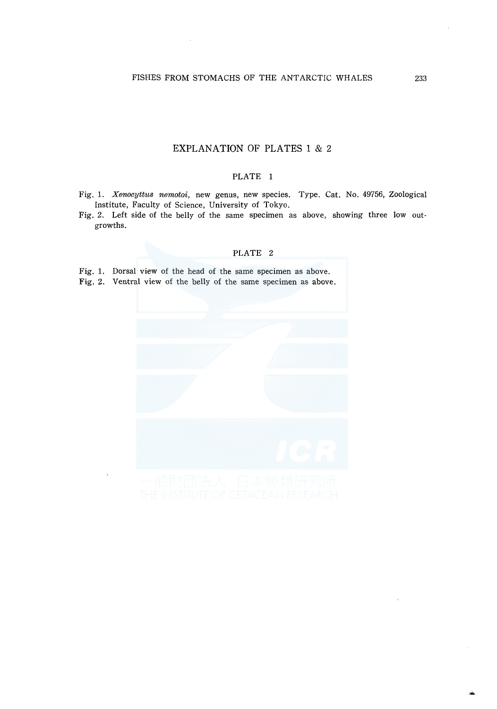# EXPLANATION OF PLATES 1 & 2

## PLATE 1

Fig. 1. *Xerwcyttus nemotoi,* new genus, new species. Type. Cat. No. 49756, Zoological Institute, Faculty of Science, University of Tokyo.

Fig. 2. Left side of the belly of the same specimen as above, showing three low outgrowths.

#### PLATE 2

Fig. 1. Dorsal view of the head of the same specimen as above.

Fig. 2. Ventral view of the belly of the same specimen as above.

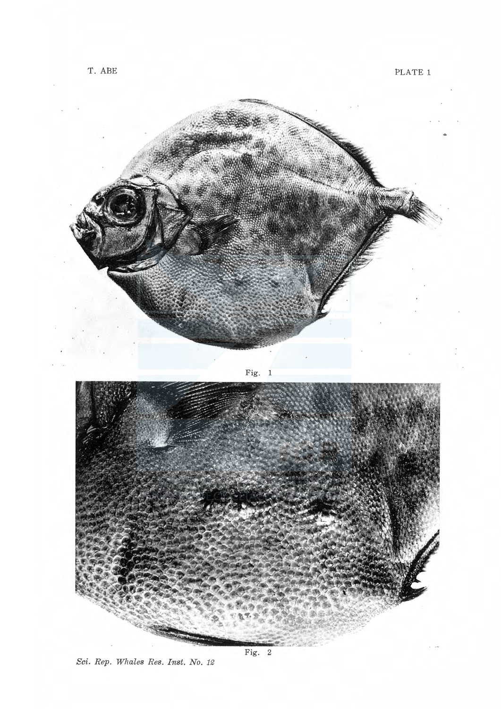